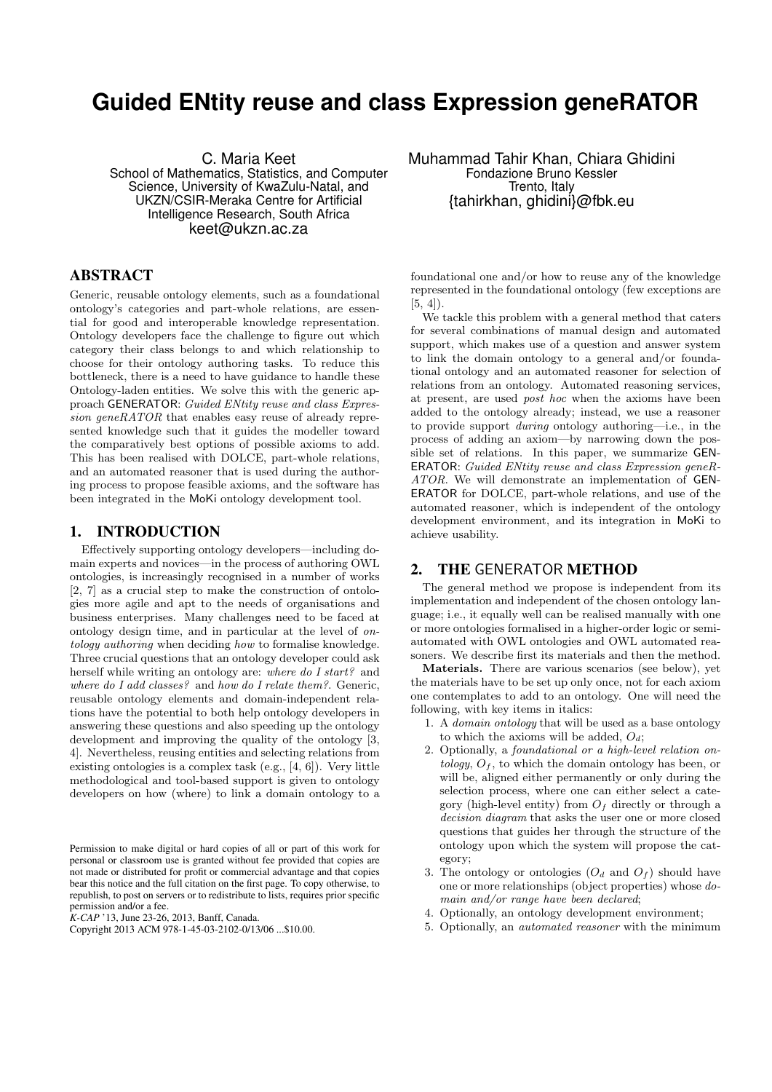# **Guided ENtity reuse and class Expression geneRATOR**

C. Maria Keet School of Mathematics, Statistics, and Computer Science, University of KwaZulu-Natal, and UKZN/CSIR-Meraka Centre for Artificial Intelligence Research, South Africa keet@ukzn.ac.za

## ABSTRACT

Generic, reusable ontology elements, such as a foundational ontology's categories and part-whole relations, are essential for good and interoperable knowledge representation. Ontology developers face the challenge to figure out which category their class belongs to and which relationship to choose for their ontology authoring tasks. To reduce this bottleneck, there is a need to have guidance to handle these Ontology-laden entities. We solve this with the generic approach GENERATOR: Guided ENtity reuse and class Expression geneRATOR that enables easy reuse of already represented knowledge such that it guides the modeller toward the comparatively best options of possible axioms to add. This has been realised with DOLCE, part-whole relations, and an automated reasoner that is used during the authoring process to propose feasible axioms, and the software has been integrated in the MoKi ontology development tool.

# 1. INTRODUCTION

Effectively supporting ontology developers—including domain experts and novices—in the process of authoring OWL ontologies, is increasingly recognised in a number of works [2, 7] as a crucial step to make the construction of ontologies more agile and apt to the needs of organisations and business enterprises. Many challenges need to be faced at ontology design time, and in particular at the level of ontology authoring when deciding how to formalise knowledge. Three crucial questions that an ontology developer could ask herself while writing an ontology are: where do I start? and where do I add classes? and how do I relate them?. Generic, reusable ontology elements and domain-independent relations have the potential to both help ontology developers in answering these questions and also speeding up the ontology development and improving the quality of the ontology [3, 4]. Nevertheless, reusing entities and selecting relations from existing ontologies is a complex task (e.g., [4, 6]). Very little methodological and tool-based support is given to ontology developers on how (where) to link a domain ontology to a

Permission to make digital or hard copies of all or part of this work for personal or classroom use is granted without fee provided that copies are not made or distributed for profit or commercial advantage and that copies bear this notice and the full citation on the first page. To copy otherwise, to republish, to post on servers or to redistribute to lists, requires prior specific permission and/or a fee.

*K-CAP* '13, June 23-26, 2013, Banff, Canada.

Muhammad Tahir Khan, Chiara Ghidini Fondazione Bruno Kessler Trento, Italy {tahirkhan, ghidini}@fbk.eu

foundational one and/or how to reuse any of the knowledge represented in the foundational ontology (few exceptions are  $[5, 4]$ .

We tackle this problem with a general method that caters for several combinations of manual design and automated support, which makes use of a question and answer system to link the domain ontology to a general and/or foundational ontology and an automated reasoner for selection of relations from an ontology. Automated reasoning services, at present, are used post hoc when the axioms have been added to the ontology already; instead, we use a reasoner to provide support during ontology authoring—i.e., in the process of adding an axiom—by narrowing down the possible set of relations. In this paper, we summarize GEN-ERATOR: Guided ENtity reuse and class Expression geneR-ATOR. We will demonstrate an implementation of GEN-ERATOR for DOLCE, part-whole relations, and use of the automated reasoner, which is independent of the ontology development environment, and its integration in MoKi to achieve usability.

#### 2. THE GENERATOR METHOD

The general method we propose is independent from its implementation and independent of the chosen ontology language; i.e., it equally well can be realised manually with one or more ontologies formalised in a higher-order logic or semiautomated with OWL ontologies and OWL automated reasoners. We describe first its materials and then the method.

Materials. There are various scenarios (see below), yet the materials have to be set up only once, not for each axiom one contemplates to add to an ontology. One will need the following, with key items in italics:

- 1. A domain ontology that will be used as a base ontology to which the axioms will be added,  $O_d$ ;
- 2. Optionally, a foundational or a high-level relation ontology,  $O<sub>f</sub>$ , to which the domain ontology has been, or will be, aligned either permanently or only during the selection process, where one can either select a category (high-level entity) from  $O<sub>f</sub>$  directly or through a decision diagram that asks the user one or more closed questions that guides her through the structure of the ontology upon which the system will propose the category;
- 3. The ontology or ontologies  $(O_d \text{ and } O_f)$  should have one or more relationships (object properties) whose domain and/or range have been declared;
- 4. Optionally, an ontology development environment;
- 5. Optionally, an automated reasoner with the minimum

Copyright 2013 ACM 978-1-45-03-2102-0/13/06 ...\$10.00.